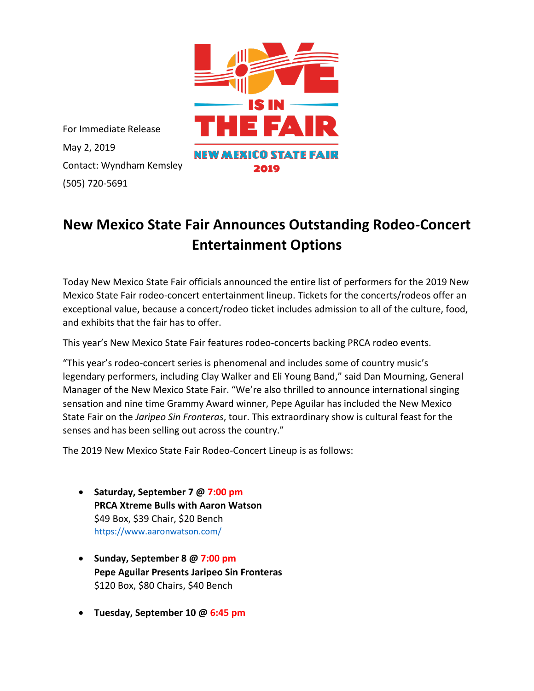

For Immediate Release May 2, 2019 Contact: Wyndham Kemsley (505) 720-5691

## **New Mexico State Fair Announces Outstanding Rodeo-Concert Entertainment Options**

Today New Mexico State Fair officials announced the entire list of performers for the 2019 New Mexico State Fair rodeo-concert entertainment lineup. Tickets for the concerts/rodeos offer an exceptional value, because a concert/rodeo ticket includes admission to all of the culture, food, and exhibits that the fair has to offer.

This year's New Mexico State Fair features rodeo-concerts backing PRCA rodeo events.

"This year's rodeo-concert series is phenomenal and includes some of country music's legendary performers, including Clay Walker and Eli Young Band," said Dan Mourning, General Manager of the New Mexico State Fair. "We're also thrilled to announce international singing sensation and nine time Grammy Award winner, Pepe Aguilar has included the New Mexico State Fair on the *Jaripeo Sin Fronteras*, tour. This extraordinary show is cultural feast for the senses and has been selling out across the country."

The 2019 New Mexico State Fair Rodeo-Concert Lineup is as follows:

- **Saturday, September 7 @ 7:00 pm PRCA Xtreme Bulls with Aaron Watson** \$49 Box, \$39 Chair, \$20 Bench <https://www.aaronwatson.com/>
- **Sunday, September 8 @ 7:00 pm Pepe Aguilar Presents Jaripeo Sin Fronteras** \$120 Box, \$80 Chairs, \$40 Bench
- **Tuesday, September 10 @ 6:45 pm**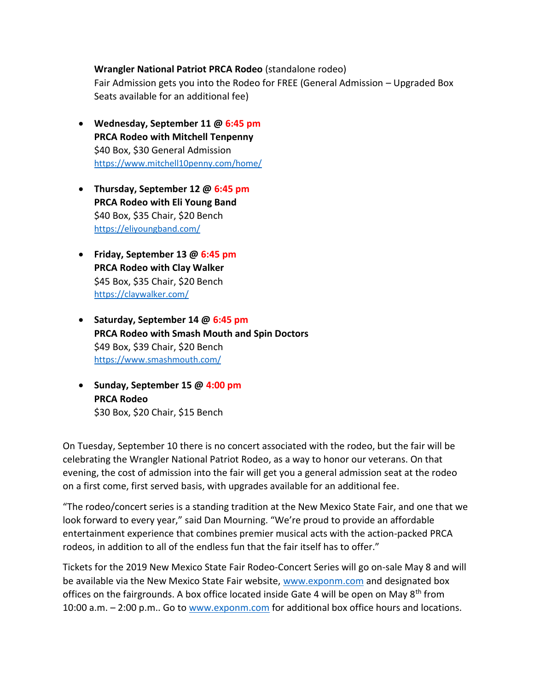## **Wrangler National Patriot PRCA Rodeo** (standalone rodeo)

Fair Admission gets you into the Rodeo for FREE (General Admission – Upgraded Box Seats available for an additional fee)

- **Wednesday, September 11 @ 6:45 pm PRCA Rodeo with Mitchell Tenpenny** \$40 Box, \$30 General Admission <https://www.mitchell10penny.com/home/>
- **Thursday, September 12 @ 6:45 pm PRCA Rodeo with Eli Young Band** \$40 Box, \$35 Chair, \$20 Bench <https://eliyoungband.com/>
- **Friday, September 13 @ 6:45 pm PRCA Rodeo with Clay Walker** \$45 Box, \$35 Chair, \$20 Bench <https://claywalker.com/>
- **Saturday, September 14 @ 6:45 pm PRCA Rodeo with Smash Mouth and Spin Doctors** \$49 Box, \$39 Chair, \$20 Bench <https://www.smashmouth.com/>
- **Sunday, September 15 @ 4:00 pm PRCA Rodeo** \$30 Box, \$20 Chair, \$15 Bench

On Tuesday, September 10 there is no concert associated with the rodeo, but the fair will be celebrating the Wrangler National Patriot Rodeo, as a way to honor our veterans. On that evening, the cost of admission into the fair will get you a general admission seat at the rodeo on a first come, first served basis, with upgrades available for an additional fee.

"The rodeo/concert series is a standing tradition at the New Mexico State Fair, and one that we look forward to every year," said Dan Mourning. "We're proud to provide an affordable entertainment experience that combines premier musical acts with the action-packed PRCA rodeos, in addition to all of the endless fun that the fair itself has to offer."

Tickets for the 2019 New Mexico State Fair Rodeo-Concert Series will go on-sale May 8 and will be available via the New Mexico State Fair website, [www.exponm.com](http://www.exponm.com/) and designated box offices on the fairgrounds. A box office located inside Gate 4 will be open on May  $8<sup>th</sup>$  from 10:00 a.m. - 2:00 p.m.. Go t[o www.exponm.com](http://www.exponm.com/) for additional box office hours and locations.